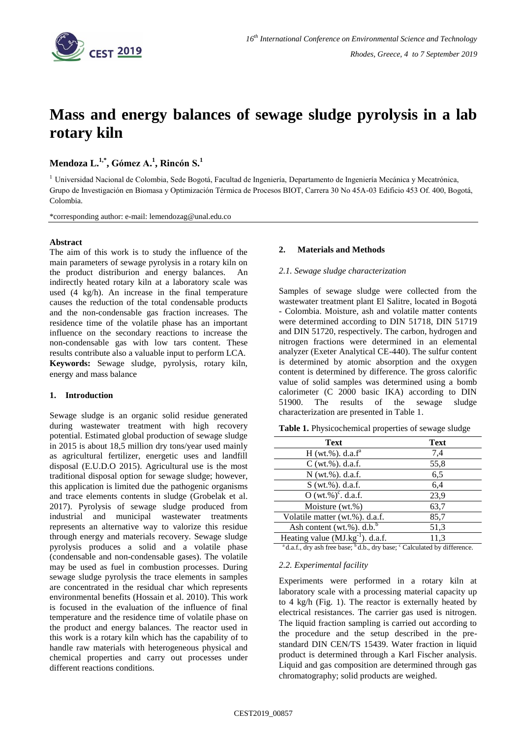

# **Mass and energy balances of sewage sludge pyrolysis in a lab rotary kiln**

## **Mendoza L. 1,\* , Gómez A. 1 , Rincón S. 1**

<sup>1</sup> Universidad Nacional de Colombia, Sede Bogotá, Facultad de Ingeniería, Departamento de Ingeniería Mecánica y Mecatrónica, Grupo de Investigación en Biomasa y Optimización Térmica de Procesos BIOT, Carrera 30 No 45A-03 Edificio 453 Of. 400, Bogotá, Colombia.

\*corresponding author: e-mail: lemendozag@unal.edu.co

### **Abstract**

The aim of this work is to study the influence of the main parameters of sewage pyrolysis in a rotary kiln on the product distriburion and energy balances. An indirectly heated rotary kiln at a laboratory scale was used (4 kg/h). An increase in the final temperature causes the reduction of the total condensable products and the non-condensable gas fraction increases. The residence time of the volatile phase has an important influence on the secondary reactions to increase the non-condensable gas with low tars content. These results contribute also a valuable input to perform LCA. **Keywords:** Sewage sludge, pyrolysis, rotary kiln, energy and mass balance

#### **1. Introduction**

Sewage sludge is an organic solid residue generated during wastewater treatment with high recovery potential. Estimated global production of sewage sludge in 2015 is about 18,5 million dry tons/year used mainly as agricultural fertilizer, energetic uses and landfill disposal (E.U.D.O 2015). Agricultural use is the most traditional disposal option for sewage sludge; however, this application is limited due the pathogenic organisms and trace elements contents in sludge (Grobelak et al. 2017). Pyrolysis of sewage sludge produced from industrial and municipal wastewater treatments represents an alternative way to valorize this residue through energy and materials recovery. Sewage sludge pyrolysis produces a solid and a volatile phase (condensable and non-condensable gases). The volatile may be used as fuel in combustion processes. During sewage sludge pyrolysis the trace elements in samples are concentrated in the residual char which represents environmental benefits (Hossain et al. 2010). This work is focused in the evaluation of the influence of final temperature and the residence time of volatile phase on the product and energy balances. The reactor used in this work is a rotary kiln which has the capability of to handle raw materials with heterogeneous physical and chemical properties and carry out processes under different reactions conditions.

#### **2. Materials and Methods**

#### *2.1. Sewage sludge characterization*

Samples of sewage sludge were collected from the wastewater treatment plant El Salitre, located in Bogotá - Colombia. Moisture, ash and volatile matter contents were determined according to DIN 51718, DIN 51719 and DIN 51720, respectively. The carbon, hydrogen and nitrogen fractions were determined in an elemental analyzer (Exeter Analytical CE-440). The sulfur content is determined by atomic absorption and the oxygen content is determined by difference. The gross calorific value of solid samples was determined using a bomb calorimeter (C 2000 basic IKA) according to DIN 51900. The results of the sewage sludge characterization are presented in Table 1.

| <b>Text</b>                           | <b>Text</b> |
|---------------------------------------|-------------|
| $H (wt. %)$ . d.a.f <sup>a</sup>      | 7,4         |
| $C(wt.\%)$ . d.a.f.                   | 55,8        |
| N (wt.%). d.a.f.                      | 6,5         |
| S (wt.%). d.a.f.                      | 6,4         |
| $O(wt.\%)^c$ . d.a.f.                 | 23,9        |
| Moisture (wt.%)                       | 63,7        |
| Volatile matter (wt.%). d.a.f.        | 85,7        |
| Ash content (wt.%). $d.b.^b$          | 51,3        |
| Heating value $(MJ.kg^{-1})$ . d.a.f. | 11,3        |

**Table 1.** Physicochemical properties of sewage sludge

<sup>a</sup>d.a.f., dry ash free base; <sup>b</sup>d.b., dry base; <sup>c</sup> Calculated by difference.

#### *2.2. Experimental facility*

Experiments were performed in a rotary kiln at laboratory scale with a processing material capacity up to 4 kg/h (Fig. 1). The reactor is externally heated by electrical resistances. The carrier gas used is nitrogen. The liquid fraction sampling is carried out according to the procedure and the setup described in the prestandard DIN CEN/TS 15439. Water fraction in liquid product is determined through a Karl Fischer analysis. Liquid and gas composition are determined through gas chromatography; solid products are weighed.